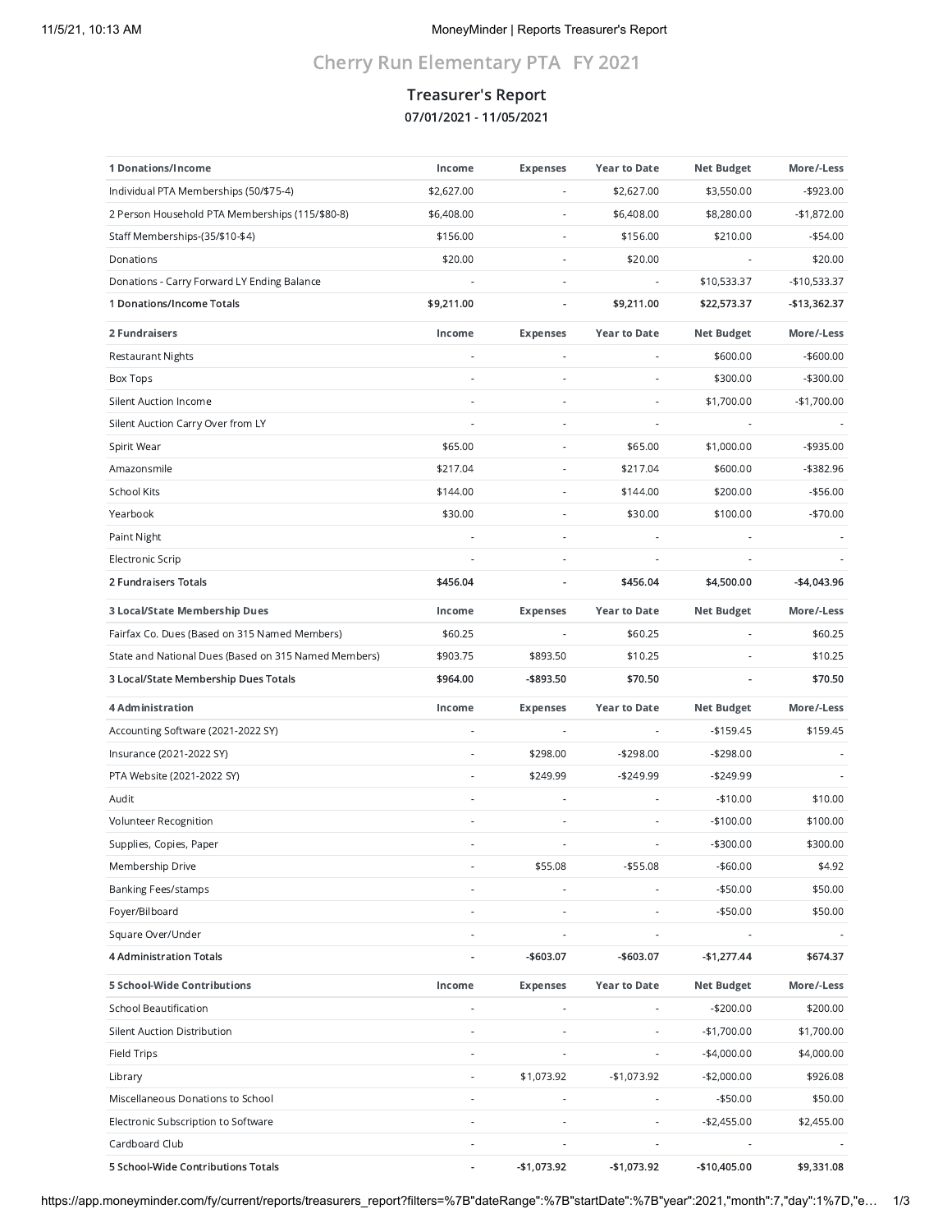# Cherry Run Elementary PTA FY 2021

## Treasurer's Report 07/01/2021 - 11/05/2021

| 1 Donations/Income                                   | Income                   | <b>Expenses</b>              | <b>Year to Date</b> | <b>Net Budget</b> | More/-Less   |
|------------------------------------------------------|--------------------------|------------------------------|---------------------|-------------------|--------------|
| Individual PTA Memberships (50/\$75-4)               | \$2,627.00               |                              | \$2,627.00          | \$3,550.00        | $-$ \$923.00 |
| 2 Person Household PTA Memberships (115/\$80-8)      | \$6,408.00               | ÷,                           | \$6,408.00          | \$8,280.00        | $-$1,872.00$ |
| Staff Memberships-(35/\$10-\$4)                      | \$156.00                 | ÷                            | \$156.00            | \$210.00          | $-$54.00$    |
| Donations                                            | \$20.00                  | ä,                           | \$20.00             |                   | \$20.00      |
| Donations - Carry Forward LY Ending Balance          |                          | ÷,                           | ÷,                  | \$10,533.37       | -\$10,533.37 |
| 1 Donations/Income Totals                            | \$9,211.00               | ٠                            | \$9,211.00          | \$22,573.37       | -\$13,362.37 |
| 2 Fundraisers                                        | Income                   | <b>Expenses</b>              | <b>Year to Date</b> | <b>Net Budget</b> | More/-Less   |
| <b>Restaurant Nights</b>                             | $\overline{\phantom{a}}$ | $\frac{1}{2}$                | ÷,                  | \$600.00          | $-$600.00$   |
| <b>Box Tops</b>                                      |                          | ÷                            |                     | \$300.00          | $-$300.00$   |
| <b>Silent Auction Income</b>                         |                          | $\overline{\phantom{a}}$     | ÷                   | \$1,700.00        | $-$1,700.00$ |
| Silent Auction Carry Over from LY                    | ÷,                       | ÷,                           | ÷,                  |                   |              |
| Spirit Wear                                          | \$65.00                  | $\overline{a}$               | \$65.00             | \$1,000.00        | -\$935.00    |
| Amazonsmile                                          | \$217.04                 | ×,                           | \$217.04            | \$600.00          | -\$382.96    |
| <b>School Kits</b>                                   | \$144.00                 |                              | \$144.00            | \$200.00          | $-$56.00$    |
| Yearbook                                             | \$30.00                  | $\overline{a}$               | \$30.00             | \$100.00          | $-$70.00$    |
| Paint Night                                          |                          | ×,                           |                     |                   |              |
| <b>Electronic Scrip</b>                              |                          |                              |                     |                   |              |
| 2 Fundraisers Totals                                 | \$456.04                 | ٠                            | \$456.04            | \$4,500.00        | $-$4,043.96$ |
| 3 Local/State Membership Dues                        | Income                   | <b>Expenses</b>              | <b>Year to Date</b> | <b>Net Budget</b> | More/-Less   |
| Fairfax Co. Dues (Based on 315 Named Members)        | \$60.25                  |                              | \$60.25             |                   | \$60.25      |
| State and National Dues (Based on 315 Named Members) | \$903.75                 | \$893.50                     | \$10.25             |                   | \$10.25      |
| 3 Local/State Membership Dues Totals                 | \$964.00                 | -\$893.50                    | \$70.50             |                   | \$70.50      |
| <b>4 Administration</b>                              | Income                   | <b>Expenses</b>              | <b>Year to Date</b> | <b>Net Budget</b> | More/-Less   |
| Accounting Software (2021-2022 SY)                   |                          | ÷                            |                     | $-$159.45$        | \$159.45     |
| Insurance (2021-2022 SY)                             |                          | \$298.00                     | $-$298.00$          | $-$298.00$        |              |
| PTA Website (2021-2022 SY)                           | ä,                       | \$249.99                     | $-$249.99$          | $-$249.99$        |              |
| Audit                                                | ÷,                       |                              |                     | $-$10.00$         | \$10.00      |
| Volunteer Recognition                                |                          |                              | ÷                   | $-$100.00$        | \$100.00     |
| Supplies, Copies, Paper                              |                          |                              |                     | $-$300.00$        | \$300.00     |
| Membership Drive                                     |                          | \$55.08                      | $- $55.08$          | $-$60.00$         | \$4.92       |
| <b>Banking Fees/stamps</b>                           |                          |                              |                     | $-$50.00$         | \$50.00      |
| Foyer/Bilboard                                       |                          |                              |                     | $-$50.00$         | \$50.00      |
| Square Over/Under                                    | ÷,                       | L,                           | L,                  |                   |              |
| <b>4 Administration Totals</b>                       |                          | -\$603.07                    | -\$603.07           | -\$1,277.44       | \$674.37     |
| 5 School-Wide Contributions                          | Income                   | <b>Expenses</b>              | <b>Year to Date</b> | <b>Net Budget</b> | More/-Less   |
| School Beautification                                | $\overline{a}$           | ÷                            | ÷,                  | $-$200.00$        | \$200.00     |
| <b>Silent Auction Distribution</b>                   | ä,                       |                              |                     | $-$1,700.00$      | \$1,700.00   |
| Field Trips                                          |                          | ÷                            | ÷                   | $-$4,000.00$      | \$4,000.00   |
| Library                                              | $\overline{\phantom{a}}$ | \$1,073.92                   | -\$1,073.92         | $-$2,000.00$      | \$926.08     |
| Miscellaneous Donations to School                    |                          |                              |                     | $-$50.00$         | \$50.00      |
| Electronic Subscription to Software                  | ä,                       | $\qquad \qquad \blacksquare$ | ä,                  | $-$2,455.00$      | \$2,455.00   |
| Cardboard Club                                       | ÷                        |                              | ÷                   |                   |              |
| 5 School-Wide Contributions Totals                   |                          | -\$1,073.92                  | -\$1,073.92         | -\$10,405.00      | \$9,331.08   |

https://app.moneyminder.com/fy/current/reports/treasurers\_report?filters=%7B"dateRange":%7B"startDate":%7B"year":2021,"month":7,"day":1%7D,"e… 1/3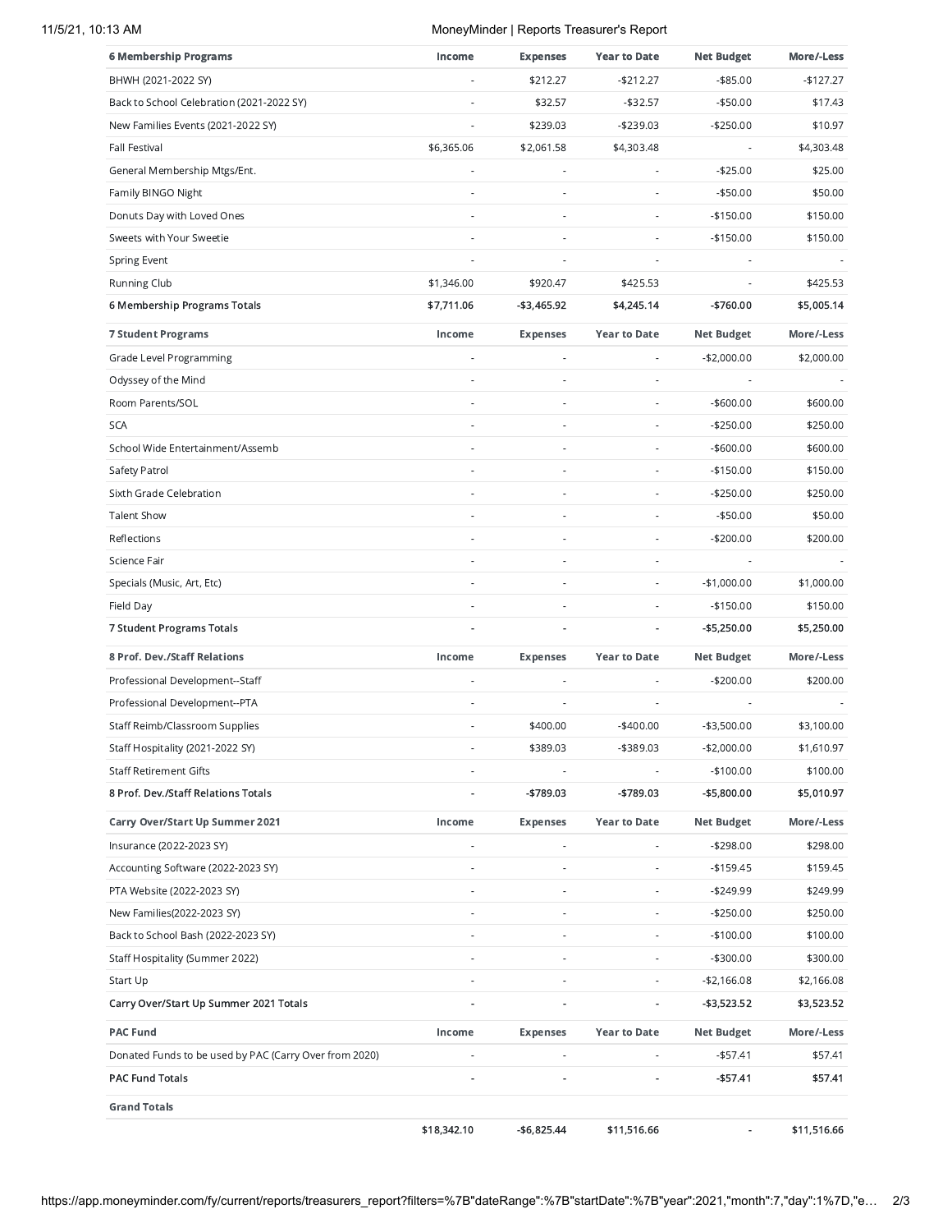#### 11/5/21, 10:13 AM MoneyMinder | Reports Treasurer's Report

| <b>6 Membership Programs</b>                           | Income         | <b>Expenses</b>          | <b>Year to Date</b>      | <b>Net Budget</b> | More/-Less  |
|--------------------------------------------------------|----------------|--------------------------|--------------------------|-------------------|-------------|
| BHWH (2021-2022 SY)                                    |                | \$212.27                 | -\$212.27                | $- $85.00$        | $-$127.27$  |
| Back to School Celebration (2021-2022 SY)              |                | \$32.57                  | $-$32.57$                | $-$50.00$         | \$17.43     |
| New Families Events (2021-2022 SY)                     |                | \$239.03                 | $-$239.03$               | $-$250.00$        | \$10.97     |
| Fall Festival                                          | \$6,365.06     | \$2,061.58               | \$4,303.48               |                   | \$4,303.48  |
| General Membership Mtgs/Ent.                           | ä,             | $\overline{\phantom{a}}$ | ×                        | $-$25.00$         | \$25.00     |
| Family BINGO Night                                     |                |                          |                          | $-$50.00$         | \$50.00     |
| Donuts Day with Loved Ones                             |                | ٠                        | ÷                        | $-$150.00$        | \$150.00    |
| Sweets with Your Sweetie                               |                |                          |                          | $-$150.00$        | \$150.00    |
| Spring Event                                           |                |                          |                          |                   |             |
| <b>Running Club</b>                                    | \$1,346.00     | \$920.47                 | \$425.53                 | ÷                 | \$425.53    |
| 6 Membership Programs Totals                           | \$7,711.06     | -\$3,465.92              | \$4,245.14               | -\$760.00         | \$5,005.14  |
| <b>7 Student Programs</b>                              | Income         | <b>Expenses</b>          | <b>Year to Date</b>      | <b>Net Budget</b> | More/-Less  |
| Grade Level Programming                                |                | $\overline{\phantom{a}}$ | ÷                        | $-$2,000.00$      | \$2,000.00  |
| Odyssey of the Mind                                    |                |                          | ×                        |                   |             |
| Room Parents/SOL                                       |                |                          | $\sim$                   | $-$600.00$        | \$600.00    |
| <b>SCA</b>                                             |                |                          |                          | $-$250.00$        | \$250.00    |
| School Wide Entertainment/Assemb                       |                | $\overline{\phantom{a}}$ | ×                        | $-$600.00$        | \$600.00    |
| Safety Patrol                                          |                | $\overline{\phantom{a}}$ | $\overline{\phantom{a}}$ | $-$150.00$        | \$150.00    |
| Sixth Grade Celebration                                |                | $\overline{\phantom{a}}$ |                          | $-$250.00$        | \$250.00    |
| <b>Talent Show</b>                                     | ä,             |                          | ä,                       | $-$50.00$         | \$50.00     |
| Reflections                                            |                | $\sim$                   | $\sim$                   | $-$200.00$        | \$200.00    |
| Science Fair                                           |                | $\overline{\phantom{a}}$ | ÷                        |                   |             |
| Specials (Music, Art, Etc)                             |                |                          | $\overline{a}$           | $-$1,000.00$      | \$1,000.00  |
| Field Day                                              |                |                          |                          | $-$150.00$        | \$150.00    |
| 7 Student Programs Totals                              |                | $\overline{\phantom{a}}$ | ä,                       | -\$5,250.00       | \$5,250.00  |
| 8 Prof. Dev./Staff Relations                           | Income         | <b>Expenses</b>          | <b>Year to Date</b>      | <b>Net Budget</b> | More/-Less  |
| Professional Development--Staff                        |                |                          |                          | $-$200.00$        | \$200.00    |
| Professional Development--PTA                          |                |                          |                          |                   |             |
| Staff Reimb/Classroom Supplies                         |                | \$400.00                 | $-$400.00$               | $-$3,500.00$      | \$3,100.00  |
| Staff Hospitality (2021-2022 SY)                       | ä,             | \$389.03                 | -\$389.03                | $-$2,000.00$      | \$1,610.97  |
| <b>Staff Retirement Gifts</b>                          |                |                          |                          | $-$100.00$        | \$100.00    |
| 8 Prof. Dev./Staff Relations Totals                    |                | -\$789.03                | -\$789.03                | -\$5,800.00       | \$5,010.97  |
| Carry Over/Start Up Summer 2021                        | Income         | <b>Expenses</b>          | <b>Year to Date</b>      | <b>Net Budget</b> | More/-Less  |
| Insurance (2022-2023 SY)                               |                |                          |                          | $-$298.00$        | \$298.00    |
| Accounting Software (2022-2023 SY)                     |                | $\overline{\phantom{a}}$ |                          | $-$159.45$        | \$159.45    |
| PTA Website (2022-2023 SY)                             | $\bar{a}$      | $\overline{\phantom{a}}$ |                          | $-$249.99$        | \$249.99    |
| New Families(2022-2023 SY)                             |                | $\overline{\phantom{a}}$ |                          | $-$250.00$        | \$250.00    |
| Back to School Bash (2022-2023 SY)                     |                | $\overline{\phantom{a}}$ | $\overline{a}$           | $-$100.00$        | \$100.00    |
| Staff Hospitality (Summer 2022)                        |                |                          |                          | -\$300.00         | \$300.00    |
| Start Up                                               | ÷              | $\overline{\phantom{a}}$ | $\overline{\phantom{m}}$ | -\$2,166.08       | \$2,166.08  |
| Carry Over/Start Up Summer 2021 Totals                 |                |                          |                          | -\$3,523.52       | \$3,523.52  |
| <b>PAC Fund</b>                                        | Income         | <b>Expenses</b>          | <b>Year to Date</b>      | <b>Net Budget</b> | More/-Less  |
| Donated Funds to be used by PAC (Carry Over from 2020) | $\blacksquare$ | $\overline{\phantom{a}}$ | $\overline{\phantom{a}}$ | $-$57.41$         | \$57.41     |
| <b>PAC Fund Totals</b>                                 |                |                          |                          | -\$57.41          | \$57.41     |
| <b>Grand Totals</b>                                    |                |                          |                          |                   |             |
|                                                        | \$18,342.10    | -\$6,825.44              | \$11,516.66              |                   | \$11,516.66 |

https://app.moneyminder.com/fy/current/reports/treasurers\_report?filters=%7B"dateRange":%7B"startDate":%7B"year":2021,"month":7,"day":1%7D,"e… 2/3